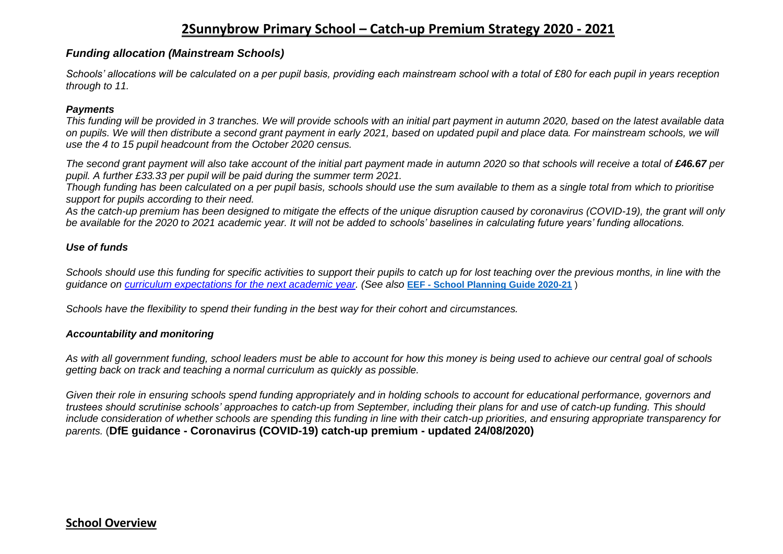### **2Sunnybrow Primary School – Catch-up Premium Strategy 2020 - 2021**

#### *Funding allocation (Mainstream Schools)*

*Schools' allocations will be calculated on a per pupil basis, providing each mainstream school with a total of £80 for each pupil in years reception through to 11.*

#### *Payments*

*This funding will be provided in 3 tranches. We will provide schools with an initial part payment in autumn 2020, based on the latest available data on pupils. We will then distribute a second grant payment in early 2021, based on updated pupil and place data. For mainstream schools, we will use the 4 to 15 pupil headcount from the October 2020 census.*

*The second grant payment will also take account of the initial part payment made in autumn 2020 so that schools will receive a total of £46.67 per pupil. A further £33.33 per pupil will be paid during the summer term 2021.*

*Though funding has been calculated on a per pupil basis, schools should use the sum available to them as a single total from which to prioritise support for pupils according to their need.*

*As the catch-up premium has been designed to mitigate the effects of the unique disruption caused by coronavirus (COVID-19), the grant will only be available for the 2020 to 2021 academic year. It will not be added to schools' baselines in calculating future years' funding allocations.*

#### *Use of funds*

*Schools should use this funding for specific activities to support their pupils to catch up for lost teaching over the previous months, in line with the guidance on [curriculum expectations for the next academic year.](https://www.gov.uk/government/publications/actions-for-schools-during-the-coronavirus-outbreak/guidance-for-full-opening-schools#section-3-curriculum-behaviour-and-pastoral-support) (See also* **EEF - [School Planning Guide 2020-21](https://educationendowmentfoundation.org.uk/covid-19-resources/guide-to-supporting-schools-planning/)** )

*Schools have the flexibility to spend their funding in the best way for their cohort and circumstances.*

#### *Accountability and monitoring*

*As with all government funding, school leaders must be able to account for how this money is being used to achieve our central goal of schools getting back on track and teaching a normal curriculum as quickly as possible.*

*Given their role in ensuring schools spend funding appropriately and in holding schools to account for educational performance, governors and trustees should scrutinise schools' approaches to catch-up from September, including their plans for and use of catch-up funding. This should include consideration of whether schools are spending this funding in line with their catch-up priorities, and ensuring appropriate transparency for parents.* (**DfE guidance - Coronavirus (COVID-19) catch-up premium - updated 24/08/2020)**

### **School Overview**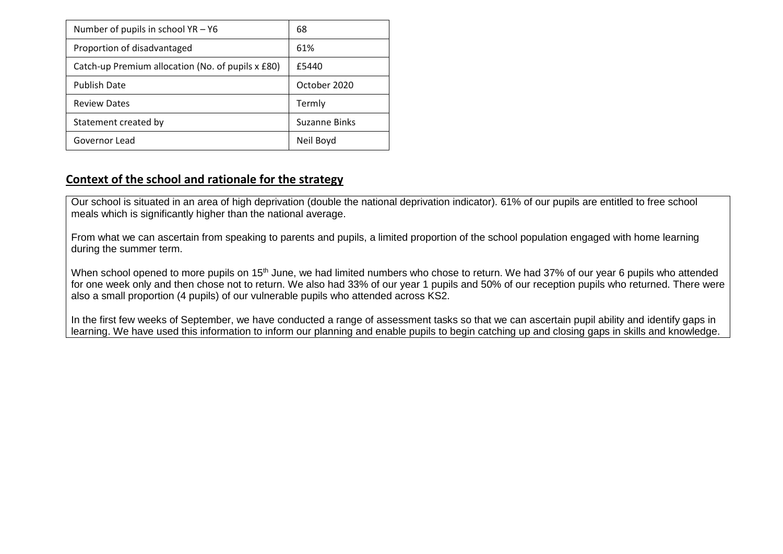| Number of pupils in school $YA - Y6$              | 68            |  |  |
|---------------------------------------------------|---------------|--|--|
| Proportion of disadvantaged                       | 61%           |  |  |
| Catch-up Premium allocation (No. of pupils x £80) | £5440         |  |  |
| <b>Publish Date</b>                               | October 2020  |  |  |
| <b>Review Dates</b>                               | Termly        |  |  |
| Statement created by                              | Suzanne Binks |  |  |
| Governor Lead                                     | Neil Boyd     |  |  |

### **Context of the school and rationale for the strategy**

Our school is situated in an area of high deprivation (double the national deprivation indicator). 61% of our pupils are entitled to free school meals which is significantly higher than the national average.

From what we can ascertain from speaking to parents and pupils, a limited proportion of the school population engaged with home learning during the summer term.

When school opened to more pupils on 15<sup>th</sup> June, we had limited numbers who chose to return. We had 37% of our year 6 pupils who attended for one week only and then chose not to return. We also had 33% of our year 1 pupils and 50% of our reception pupils who returned. There were also a small proportion (4 pupils) of our vulnerable pupils who attended across KS2.

In the first few weeks of September, we have conducted a range of assessment tasks so that we can ascertain pupil ability and identify gaps in learning. We have used this information to inform our planning and enable pupils to begin catching up and closing gaps in skills and knowledge.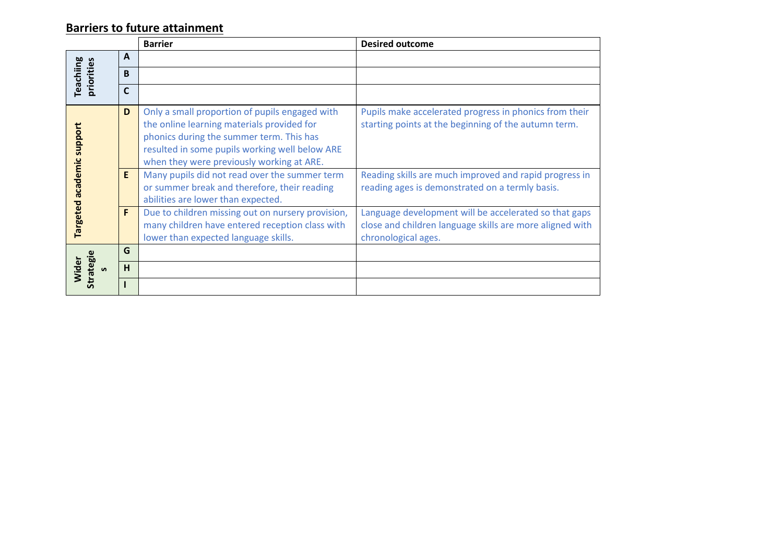# **Barriers to future attainment**

|                                        |              | <b>Barrier</b>                                                                                                                                                                                                                          | <b>Desired outcome</b>                                                                                                                   |
|----------------------------------------|--------------|-----------------------------------------------------------------------------------------------------------------------------------------------------------------------------------------------------------------------------------------|------------------------------------------------------------------------------------------------------------------------------------------|
|                                        | A            |                                                                                                                                                                                                                                         |                                                                                                                                          |
| <b>Teachiing</b><br>priorities         | <sub>B</sub> |                                                                                                                                                                                                                                         |                                                                                                                                          |
|                                        | C            |                                                                                                                                                                                                                                         |                                                                                                                                          |
| support<br>academic<br><b>Targeted</b> | D            | Only a small proportion of pupils engaged with<br>the online learning materials provided for<br>phonics during the summer term. This has<br>resulted in some pupils working well below ARE<br>when they were previously working at ARE. | Pupils make accelerated progress in phonics from their<br>starting points at the beginning of the autumn term.                           |
|                                        | E            | Many pupils did not read over the summer term<br>or summer break and therefore, their reading<br>abilities are lower than expected.                                                                                                     | Reading skills are much improved and rapid progress in<br>reading ages is demonstrated on a termly basis.                                |
|                                        | F            | Due to children missing out on nursery provision,<br>many children have entered reception class with<br>lower than expected language skills.                                                                                            | Language development will be accelerated so that gaps<br>close and children language skills are more aligned with<br>chronological ages. |
| Strategie<br>Wider<br>$\mathbf{v}$     | G            |                                                                                                                                                                                                                                         |                                                                                                                                          |
|                                        | H            |                                                                                                                                                                                                                                         |                                                                                                                                          |
|                                        |              |                                                                                                                                                                                                                                         |                                                                                                                                          |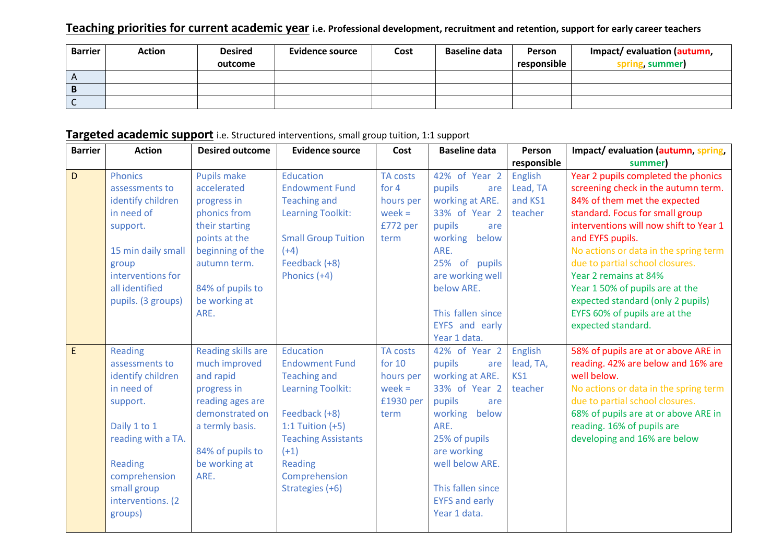### **Teaching priorities for current academic year i.e. Professional development, recruitment and retention, support for early career teachers**

| <b>Barrier</b> | Action | <b>Desired</b> | <b>Evidence source</b> | Cost | <b>Baseline data</b> | Person      | Impact/ evaluation (autumn, |
|----------------|--------|----------------|------------------------|------|----------------------|-------------|-----------------------------|
|                |        | outcome        |                        |      |                      | responsible | g, summer)                  |
| $\overline{A}$ |        |                |                        |      |                      |             |                             |
| $\overline{B}$ |        |                |                        |      |                      |             |                             |
|                |        |                |                        |      |                      |             |                             |

# **Targeted academic support** i.e. Structured interventions, small group tuition, 1:1 support

| <b>Barrier</b> | <b>Action</b>                                                                                                                                                                                     | <b>Desired outcome</b>                                                                                                                                                               | <b>Evidence source</b>                                                                                                                                                                                                     | Cost                                                                      | <b>Baseline data</b>                                                                                                                                                                                                          | Person                                           | Impact/evaluation (autumn, spring,                                                                                                                                                                                                                                                                                                                                                                                                             |
|----------------|---------------------------------------------------------------------------------------------------------------------------------------------------------------------------------------------------|--------------------------------------------------------------------------------------------------------------------------------------------------------------------------------------|----------------------------------------------------------------------------------------------------------------------------------------------------------------------------------------------------------------------------|---------------------------------------------------------------------------|-------------------------------------------------------------------------------------------------------------------------------------------------------------------------------------------------------------------------------|--------------------------------------------------|------------------------------------------------------------------------------------------------------------------------------------------------------------------------------------------------------------------------------------------------------------------------------------------------------------------------------------------------------------------------------------------------------------------------------------------------|
|                |                                                                                                                                                                                                   |                                                                                                                                                                                      |                                                                                                                                                                                                                            |                                                                           |                                                                                                                                                                                                                               | responsible                                      | summer)                                                                                                                                                                                                                                                                                                                                                                                                                                        |
| D              | <b>Phonics</b><br>assessments to<br>identify children<br>in need of<br>support.<br>15 min daily small<br>group<br>interventions for<br>all identified<br>pupils. (3 groups)                       | <b>Pupils make</b><br>accelerated<br>progress in<br>phonics from<br>their starting<br>points at the<br>beginning of the<br>autumn term.<br>84% of pupils to<br>be working at<br>ARE. | Education<br><b>Endowment Fund</b><br><b>Teaching and</b><br><b>Learning Toolkit:</b><br><b>Small Group Tuition</b><br>$(+4)$<br>Feedback (+8)<br>Phonics (+4)                                                             | <b>TA costs</b><br>for 4<br>hours per<br>$week =$<br>£772 per<br>term     | 42% of Year 2<br>pupils<br>are<br>working at ARE.<br>33% of Year 2<br>pupils<br>are<br>working below<br>ARE.<br>25% of pupils<br>are working well<br>below ARE.<br>This fallen since<br>EYFS and early<br>Year 1 data.        | <b>English</b><br>Lead, TA<br>and KS1<br>teacher | Year 2 pupils completed the phonics<br>screening check in the autumn term.<br>84% of them met the expected<br>standard. Focus for small group<br>interventions will now shift to Year 1<br>and EYFS pupils.<br>No actions or data in the spring term<br>due to partial school closures.<br>Year 2 remains at 84%<br>Year 150% of pupils are at the<br>expected standard (only 2 pupils)<br>EYFS 60% of pupils are at the<br>expected standard. |
| $\mathsf E$    | Reading<br>assessments to<br>identify children<br>in need of<br>support.<br>Daily 1 to 1<br>reading with a TA.<br><b>Reading</b><br>comprehension<br>small group<br>interventions. (2)<br>groups) | Reading skills are<br>much improved<br>and rapid<br>progress in<br>reading ages are<br>demonstrated on<br>a termly basis.<br>84% of pupils to<br>be working at<br>ARE.               | Education<br><b>Endowment Fund</b><br><b>Teaching and</b><br><b>Learning Toolkit:</b><br>Feedback (+8)<br>1:1 Tuition $(+5)$<br><b>Teaching Assistants</b><br>$(+1)$<br><b>Reading</b><br>Comprehension<br>Strategies (+6) | <b>TA costs</b><br>for $10$<br>hours per<br>week $=$<br>£1930 per<br>term | 42% of Year 2<br>pupils<br>are<br>working at ARE.<br>33% of Year 2<br>pupils<br>are<br>working below<br>ARE.<br>25% of pupils<br>are working<br>well below ARE.<br>This fallen since<br><b>EYFS and early</b><br>Year 1 data. | English<br>lead, TA,<br>KS1<br>teacher           | 58% of pupils are at or above ARE in<br>reading. 42% are below and 16% are<br>well below.<br>No actions or data in the spring term<br>due to partial school closures.<br>68% of pupils are at or above ARE in<br>reading. 16% of pupils are<br>developing and 16% are below                                                                                                                                                                    |